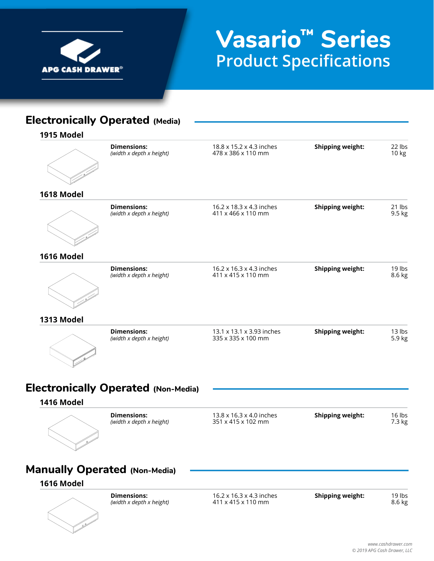

# **Vasario™ Series Product Specifications**

### **Electronically Operated (Media)**

**1915 Model**

| <b>Dimensions:</b><br>(width x depth x height) | 18.8 x 15.2 x 4.3 inches<br>478 x 386 x 110 mm  | <b>Shipping weight:</b> | 22 lbs<br>10 kg  |
|------------------------------------------------|-------------------------------------------------|-------------------------|------------------|
|                                                |                                                 |                         |                  |
| <b>Dimensions:</b><br>(width x depth x height) | 16.2 x 18.3 x 4.3 inches<br>411 x 466 x 110 mm  | <b>Shipping weight:</b> | 21 lbs<br>9.5 kg |
|                                                |                                                 |                         |                  |
| <b>Dimensions:</b><br>(width x depth x height) | 16.2 x 16.3 x 4.3 inches<br>411 x 415 x 110 mm  | <b>Shipping weight:</b> | 19 lbs<br>8.6 kg |
|                                                |                                                 |                         |                  |
| <b>Dimensions:</b><br>(width x depth x height) | 13.1 x 13.1 x 3.93 inches<br>335 x 335 x 100 mm | <b>Shipping weight:</b> | 13 lbs<br>5.9 kg |
|                                                |                                                 |                         |                  |

### **Electronically Operated (Non-Media)**

#### **1416 Model**



*(width x depth x height)* 

**Dimensions:** 13.8 x 16.3 x 4.0 inches **Shipping weight:** 16 lbs (width x depth x height) 15 16 15 16 16 16 16 16 16 16 16 16 16 16 17.3 kg

# **Manually Operated (Non-Media)**

#### **1616 Model**



*(width x depth x height)* 

**Dimensions:** 16.2 x 16.3 x 4.3 inches **Shipping weight:** 19 lbs (width x depth x height) 411 x 415 x 110 mm